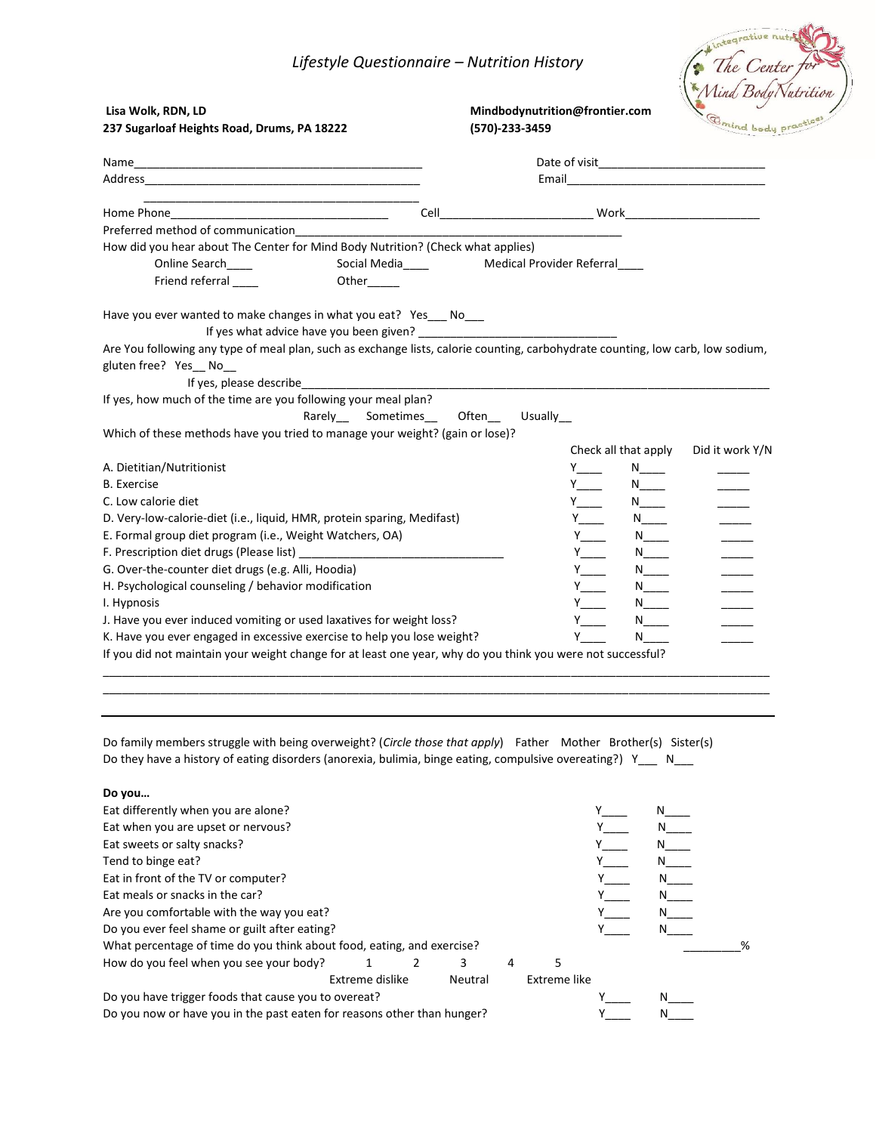### *Lifestyle Questionnaire – Nutrition History*

| Lifestyle Questionnaire - Nutrition History                                                                                                                                                                                                                                                                                                                                                                                               |                                                  |                                           |                                             |                                   |
|-------------------------------------------------------------------------------------------------------------------------------------------------------------------------------------------------------------------------------------------------------------------------------------------------------------------------------------------------------------------------------------------------------------------------------------------|--------------------------------------------------|-------------------------------------------|---------------------------------------------|-----------------------------------|
| Lisa Wolk, RDN, LD<br>237 Sugarloaf Heights Road, Drums, PA 18222                                                                                                                                                                                                                                                                                                                                                                         | Mindbodynutrition@frontier.com<br>(570)-233-3459 |                                           |                                             | Aind Body Nutrition<br>Omind body |
|                                                                                                                                                                                                                                                                                                                                                                                                                                           |                                                  |                                           |                                             |                                   |
|                                                                                                                                                                                                                                                                                                                                                                                                                                           |                                                  |                                           |                                             |                                   |
|                                                                                                                                                                                                                                                                                                                                                                                                                                           |                                                  |                                           |                                             |                                   |
| Preferred method of communication                                                                                                                                                                                                                                                                                                                                                                                                         |                                                  |                                           |                                             |                                   |
| How did you hear about The Center for Mind Body Nutrition? (Check what applies)                                                                                                                                                                                                                                                                                                                                                           |                                                  |                                           |                                             |                                   |
| Online Search____                                                                                                                                                                                                                                                                                                                                                                                                                         |                                                  |                                           |                                             |                                   |
| Friend referral<br>Other_____                                                                                                                                                                                                                                                                                                                                                                                                             |                                                  |                                           |                                             |                                   |
| If yes what advice have you been given? ____________                                                                                                                                                                                                                                                                                                                                                                                      |                                                  |                                           |                                             |                                   |
| If yes, please describe<br>Rarely ____ Sometimes                                                                                                                                                                                                                                                                                                                                                                                          | Often<br>Usually                                 |                                           |                                             |                                   |
|                                                                                                                                                                                                                                                                                                                                                                                                                                           |                                                  |                                           |                                             | Did it work Y/N                   |
|                                                                                                                                                                                                                                                                                                                                                                                                                                           |                                                  | Y y                                       | Check all that apply                        |                                   |
| Have you ever wanted to make changes in what you eat? Yes_ No_<br>Are You following any type of meal plan, such as exchange lists, calorie counting, carbohydrate counting, low carb, low sodium,<br>gluten free? Yes_No_<br>If yes, how much of the time are you following your meal plan?<br>Which of these methods have you tried to manage your weight? (gain or lose)?<br>A. Dietitian/Nutritionist<br><b>B.</b> Exercise            |                                                  |                                           | N_____<br>$N_{\perp}$                       |                                   |
|                                                                                                                                                                                                                                                                                                                                                                                                                                           |                                                  | $Y \sim$                                  | $N_{\underline{\hspace{2mm}}\phantom{2mm}}$ |                                   |
|                                                                                                                                                                                                                                                                                                                                                                                                                                           |                                                  |                                           | $N_{\perp}$                                 |                                   |
|                                                                                                                                                                                                                                                                                                                                                                                                                                           |                                                  |                                           | $N_{\perp}$                                 |                                   |
|                                                                                                                                                                                                                                                                                                                                                                                                                                           |                                                  | $Y_{\underline{\hspace{1cm}}\phantom{1}}$ | $N_{\perp}$                                 |                                   |
|                                                                                                                                                                                                                                                                                                                                                                                                                                           |                                                  |                                           | $N_{\underline{\hspace{2mm}}\phantom{2mm}}$ |                                   |
|                                                                                                                                                                                                                                                                                                                                                                                                                                           |                                                  |                                           | $N_{\perp}$                                 |                                   |
|                                                                                                                                                                                                                                                                                                                                                                                                                                           |                                                  | $Y$ <sub>___</sub>                        | N                                           |                                   |
| C. Low calorie diet<br>D. Very-low-calorie-diet (i.e., liquid, HMR, protein sparing, Medifast)<br>E. Formal group diet program (i.e., Weight Watchers, OA)<br>G. Over-the-counter diet drugs (e.g. Alli, Hoodia)<br>H. Psychological counseling / behavior modification<br>I. Hypnosis<br>J. Have you ever induced vomiting or used laxatives for weight loss?<br>K. Have you ever engaged in excessive exercise to help you lose weight? |                                                  |                                           | $N_{\perp}$<br>N <sub>1</sub>               |                                   |

Do family members struggle with being overweight? (*Circle those that apply*) Father Mother Brother(s) Sister(s) Do they have a history of eating disorders (anorexia, bulimia, binge eating, compulsive overeating?) Y\_\_\_ N\_\_\_

\_\_\_\_\_\_\_\_\_\_\_\_\_\_\_\_\_\_\_\_\_\_\_\_\_\_\_\_\_\_\_\_\_\_\_\_\_\_\_\_\_\_\_\_\_\_\_\_\_\_\_\_\_\_\_\_\_\_\_\_\_\_\_\_\_\_\_\_\_\_\_\_\_\_\_\_\_\_\_\_\_\_\_\_\_\_\_\_\_\_\_\_\_\_\_\_\_\_\_\_\_\_\_\_

**Do you…**

| Eat differently when you are alone?                                     |                 |         |   |              |   |   |
|-------------------------------------------------------------------------|-----------------|---------|---|--------------|---|---|
| Eat when you are upset or nervous?                                      |                 |         |   |              |   |   |
| Eat sweets or salty snacks?                                             |                 |         |   |              |   |   |
| Tend to binge eat?                                                      |                 |         |   |              |   |   |
| Eat in front of the TV or computer?                                     |                 |         |   |              | N |   |
| Eat meals or snacks in the car?                                         |                 |         |   |              |   |   |
| Are you comfortable with the way you eat?                               |                 |         |   |              |   |   |
| Do you ever feel shame or guilt after eating?                           |                 |         |   |              |   |   |
| What percentage of time do you think about food, eating, and exercise?  |                 |         |   |              |   | % |
| How do you feel when you see your body?                                 |                 | 3       | 4 |              |   |   |
|                                                                         | Extreme dislike | Neutral |   | Extreme like |   |   |
| Do you have trigger foods that cause you to overeat?                    |                 |         |   |              |   |   |
| Do you now or have you in the past eaten for reasons other than hunger? |                 |         |   |              |   |   |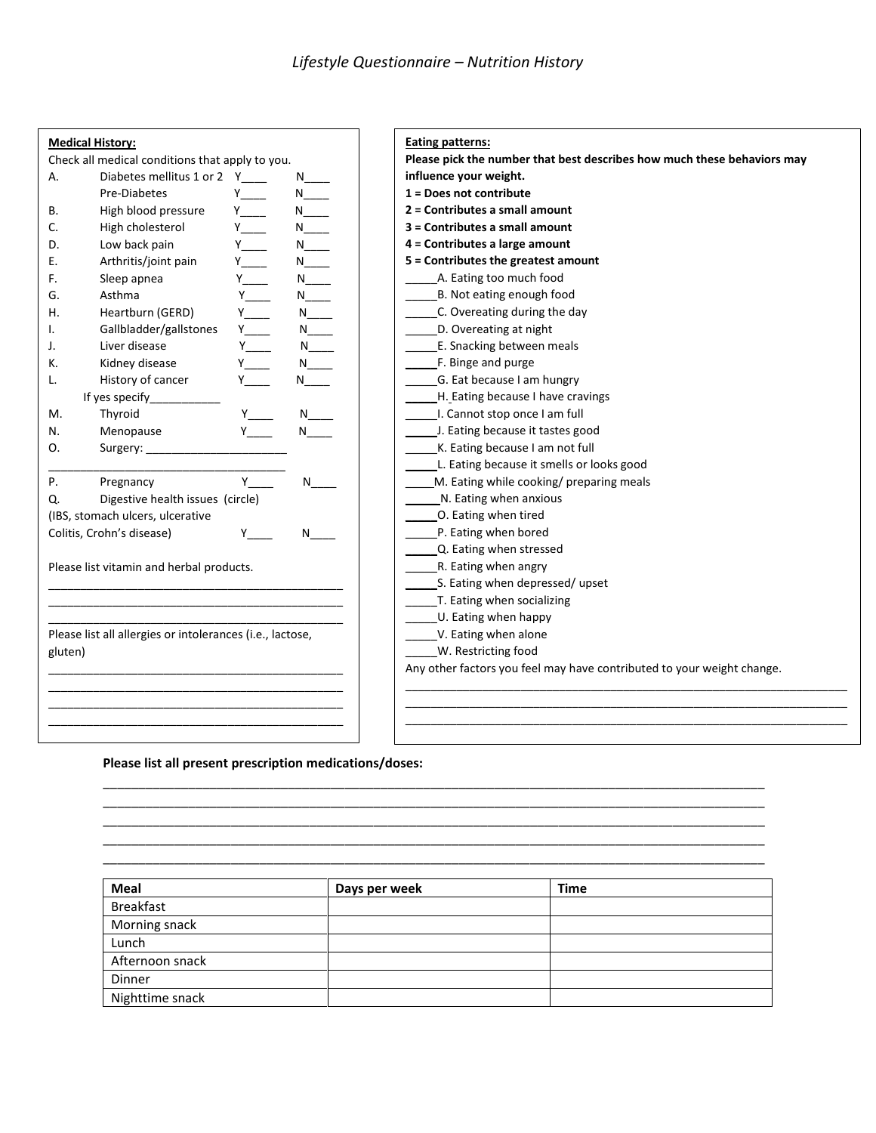|                                                 | <b>Medical History:</b>                                   |                                                                                                                                                                                                                                |                                                                                                                                                                                                                                | <b>Eating patterns:</b>                                                |  |  |  |  |
|-------------------------------------------------|-----------------------------------------------------------|--------------------------------------------------------------------------------------------------------------------------------------------------------------------------------------------------------------------------------|--------------------------------------------------------------------------------------------------------------------------------------------------------------------------------------------------------------------------------|------------------------------------------------------------------------|--|--|--|--|
| Check all medical conditions that apply to you. |                                                           |                                                                                                                                                                                                                                | Please pick the number that best describes how much these behaviors may                                                                                                                                                        |                                                                        |  |  |  |  |
| Diabetes mellitus 1 or 2 Y<br>Α.                |                                                           |                                                                                                                                                                                                                                | N and the set of the set of the set of the set of the set of the set of the set of the set of the set of the set of the set of the set of the set of the set of the set of the set of the set of the set of the set of the set | influence your weight.                                                 |  |  |  |  |
|                                                 | Pre-Diabetes                                              | $Y \equiv$                                                                                                                                                                                                                     | $N$ and $N$                                                                                                                                                                                                                    | 1 = Does not contribute                                                |  |  |  |  |
| В.                                              | High blood pressure                                       | $Y_{\underline{\hspace{1cm}}\phantom{1}}$                                                                                                                                                                                      | $N_{\perp}$                                                                                                                                                                                                                    | 2 = Contributes a small amount                                         |  |  |  |  |
| C.                                              | High cholesterol                                          | $Y$ <sub>-</sub>                                                                                                                                                                                                               | $N_{\perp}$                                                                                                                                                                                                                    | 3 = Contributes a small amount                                         |  |  |  |  |
| D.                                              | Low back pain                                             | <b>Y</b>                                                                                                                                                                                                                       | $N_{\perp}$                                                                                                                                                                                                                    | 4 = Contributes a large amount                                         |  |  |  |  |
| Е.                                              | Arthritis/joint pain                                      | Y and the set of the set of the set of the set of the set of the set of the set of the set of the set of the set of the set of the set of the set of the set of the set of the set of the set of the set of the set of the set | $N_{\perp}$                                                                                                                                                                                                                    | 5 = Contributes the greatest amount                                    |  |  |  |  |
| F.                                              | Sleep apnea                                               | $Y$ _____                                                                                                                                                                                                                      | $N_{\perp}$                                                                                                                                                                                                                    | A. Eating too much food                                                |  |  |  |  |
| G.                                              | Asthma                                                    |                                                                                                                                                                                                                                | $N_{\perp}$                                                                                                                                                                                                                    | B. Not eating enough food                                              |  |  |  |  |
| Н.                                              | Heartburn (GERD)                                          | <b>Y</b>                                                                                                                                                                                                                       | N                                                                                                                                                                                                                              | C. Overeating during the day                                           |  |  |  |  |
| I.                                              | Gallbladder/gallstones                                    | $Y_{\underline{\hspace{1cm}}\underline{\hspace{1cm}}}$                                                                                                                                                                         | $N_{\perp}$                                                                                                                                                                                                                    | D. Overeating at night                                                 |  |  |  |  |
| J.                                              | Liver disease                                             | $Y_{\underline{\hspace{1cm}}\phantom{1}}$                                                                                                                                                                                      | $N_{\perp}$                                                                                                                                                                                                                    | E. Snacking between meals                                              |  |  |  |  |
| к.                                              | Kidney disease                                            | $Y \_$                                                                                                                                                                                                                         | N                                                                                                                                                                                                                              | _F. Binge and purge                                                    |  |  |  |  |
| L.                                              | History of cancer                                         | Y y                                                                                                                                                                                                                            | N and the set of the set of the set of the set of the set of the set of the set of the set of the set of the set of the set of the set of the set of the set of the set of the set of the set of the set of the set of the set | G. Eat because I am hungry                                             |  |  |  |  |
|                                                 | If yes specify_____                                       |                                                                                                                                                                                                                                |                                                                                                                                                                                                                                | H. Eating because I have cravings                                      |  |  |  |  |
| М.                                              | Thyroid                                                   |                                                                                                                                                                                                                                | N.                                                                                                                                                                                                                             | I. Cannot stop once I am full                                          |  |  |  |  |
| N.                                              | Menopause                                                 |                                                                                                                                                                                                                                | N                                                                                                                                                                                                                              | J. Eating because it tastes good                                       |  |  |  |  |
| O.                                              | Surgery:                                                  |                                                                                                                                                                                                                                |                                                                                                                                                                                                                                | K. Eating because I am not full                                        |  |  |  |  |
|                                                 |                                                           |                                                                                                                                                                                                                                |                                                                                                                                                                                                                                | L. Eating because it smells or looks good                              |  |  |  |  |
| Ρ.                                              | Pregnancy                                                 | Y.                                                                                                                                                                                                                             | N                                                                                                                                                                                                                              | M. Eating while cooking/ preparing meals                               |  |  |  |  |
| Q.                                              | Digestive health issues (circle)                          |                                                                                                                                                                                                                                |                                                                                                                                                                                                                                | N. Eating when anxious                                                 |  |  |  |  |
|                                                 | (IBS, stomach ulcers, ulcerative                          |                                                                                                                                                                                                                                |                                                                                                                                                                                                                                | O. Eating when tired                                                   |  |  |  |  |
|                                                 | Colitis, Crohn's disease)                                 |                                                                                                                                                                                                                                | N                                                                                                                                                                                                                              | P. Eating when bored                                                   |  |  |  |  |
|                                                 |                                                           |                                                                                                                                                                                                                                |                                                                                                                                                                                                                                | Q. Eating when stressed                                                |  |  |  |  |
|                                                 | Please list vitamin and herbal products.                  |                                                                                                                                                                                                                                |                                                                                                                                                                                                                                | R. Eating when angry                                                   |  |  |  |  |
|                                                 |                                                           |                                                                                                                                                                                                                                |                                                                                                                                                                                                                                | S. Eating when depressed/ upset                                        |  |  |  |  |
|                                                 |                                                           |                                                                                                                                                                                                                                |                                                                                                                                                                                                                                | T. Eating when socializing                                             |  |  |  |  |
|                                                 |                                                           |                                                                                                                                                                                                                                |                                                                                                                                                                                                                                | U. Eating when happy                                                   |  |  |  |  |
|                                                 | Please list all allergies or intolerances (i.e., lactose, |                                                                                                                                                                                                                                |                                                                                                                                                                                                                                | V. Eating when alone                                                   |  |  |  |  |
| gluten)                                         |                                                           |                                                                                                                                                                                                                                |                                                                                                                                                                                                                                | W. Restricting food                                                    |  |  |  |  |
|                                                 |                                                           |                                                                                                                                                                                                                                |                                                                                                                                                                                                                                | Any other factors you feel may have contributed to your weight change. |  |  |  |  |
|                                                 |                                                           |                                                                                                                                                                                                                                |                                                                                                                                                                                                                                |                                                                        |  |  |  |  |
|                                                 |                                                           |                                                                                                                                                                                                                                |                                                                                                                                                                                                                                |                                                                        |  |  |  |  |
|                                                 |                                                           |                                                                                                                                                                                                                                |                                                                                                                                                                                                                                |                                                                        |  |  |  |  |
|                                                 |                                                           |                                                                                                                                                                                                                                |                                                                                                                                                                                                                                |                                                                        |  |  |  |  |

#### **Please list all present prescription medications/doses:**

| Meal             | Days per week | <b>Time</b> |
|------------------|---------------|-------------|
| <b>Breakfast</b> |               |             |
| Morning snack    |               |             |
| Lunch            |               |             |
| Afternoon snack  |               |             |
| Dinner           |               |             |
| Nighttime snack  |               |             |

\_\_\_\_\_\_\_\_\_\_\_\_\_\_\_\_\_\_\_\_\_\_\_\_\_\_\_\_\_\_\_\_\_\_\_\_\_\_\_\_\_\_\_\_\_\_\_\_\_\_\_\_\_\_\_\_\_\_\_\_\_\_\_\_\_\_\_\_\_\_\_\_\_\_\_\_\_\_\_\_\_\_\_\_\_\_\_\_\_\_\_\_\_ \_\_\_\_\_\_\_\_\_\_\_\_\_\_\_\_\_\_\_\_\_\_\_\_\_\_\_\_\_\_\_\_\_\_\_\_\_\_\_\_\_\_\_\_\_\_\_\_\_\_\_\_\_\_\_\_\_\_\_\_\_\_\_\_\_\_\_\_\_\_\_\_\_\_\_\_\_\_\_\_\_\_\_\_\_\_\_\_\_\_\_\_\_ \_\_\_\_\_\_\_\_\_\_\_\_\_\_\_\_\_\_\_\_\_\_\_\_\_\_\_\_\_\_\_\_\_\_\_\_\_\_\_\_\_\_\_\_\_\_\_\_\_\_\_\_\_\_\_\_\_\_\_\_\_\_\_\_\_\_\_\_\_\_\_\_\_\_\_\_\_\_\_\_\_\_\_\_\_\_\_\_\_\_\_\_\_ \_\_\_\_\_\_\_\_\_\_\_\_\_\_\_\_\_\_\_\_\_\_\_\_\_\_\_\_\_\_\_\_\_\_\_\_\_\_\_\_\_\_\_\_\_\_\_\_\_\_\_\_\_\_\_\_\_\_\_\_\_\_\_\_\_\_\_\_\_\_\_\_\_\_\_\_\_\_\_\_\_\_\_\_\_\_\_\_\_\_\_\_\_ \_\_\_\_\_\_\_\_\_\_\_\_\_\_\_\_\_\_\_\_\_\_\_\_\_\_\_\_\_\_\_\_\_\_\_\_\_\_\_\_\_\_\_\_\_\_\_\_\_\_\_\_\_\_\_\_\_\_\_\_\_\_\_\_\_\_\_\_\_\_\_\_\_\_\_\_\_\_\_\_\_\_\_\_\_\_\_\_\_\_\_\_\_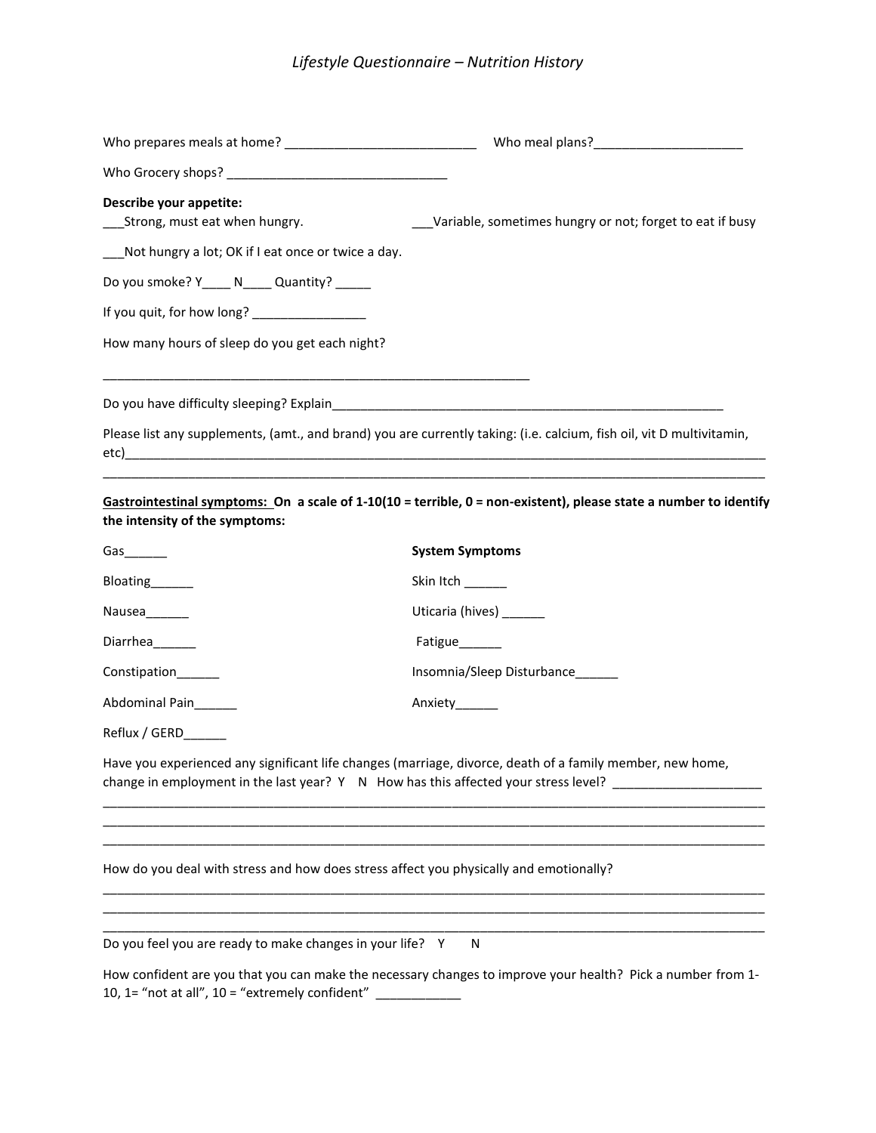# *Lifestyle Questionnaire – Nutrition History*

| Describe your appetite:<br>___Strong, must eat when hungry.                            | Variable, sometimes hungry or not; forget to eat if busy                                                                                                                                                                                      |
|----------------------------------------------------------------------------------------|-----------------------------------------------------------------------------------------------------------------------------------------------------------------------------------------------------------------------------------------------|
| Not hungry a lot; OK if I eat once or twice a day.                                     |                                                                                                                                                                                                                                               |
| Do you smoke? Y____ N____ Quantity? _____                                              |                                                                                                                                                                                                                                               |
| If you quit, for how long? _________________                                           |                                                                                                                                                                                                                                               |
| How many hours of sleep do you get each night?                                         |                                                                                                                                                                                                                                               |
|                                                                                        |                                                                                                                                                                                                                                               |
|                                                                                        | Please list any supplements, (amt., and brand) you are currently taking: (i.e. calcium, fish oil, vit D multivitamin,<br><u> 1990 - Jan James James James James James James James James James James James James James James James James J</u> |
| the intensity of the symptoms:                                                         | Gastrointestinal symptoms: On a scale of 1-10(10 = terrible, 0 = non-existent), please state a number to identify                                                                                                                             |
| Gas $\rule{1em}{0.15mm}$                                                               | <b>System Symptoms</b>                                                                                                                                                                                                                        |
| Bloating______                                                                         | Skin Itch                                                                                                                                                                                                                                     |
| Nausea______                                                                           | Uticaria (hives) ______                                                                                                                                                                                                                       |
| Diarrhea______                                                                         | Fatigue______                                                                                                                                                                                                                                 |
| Constipation______                                                                     | Insomnia/Sleep Disturbance                                                                                                                                                                                                                    |
| Abdominal Pain                                                                         | Anxiety_______                                                                                                                                                                                                                                |
| Reflux / GERD______                                                                    |                                                                                                                                                                                                                                               |
|                                                                                        | Have you experienced any significant life changes (marriage, divorce, death of a family member, new home,<br>change in employment in the last year? Y N How has this affected your stress level? ________________                             |
| How do you deal with stress and how does stress affect you physically and emotionally? |                                                                                                                                                                                                                                               |
| Do you feel you are ready to make changes in your life? Y                              | N                                                                                                                                                                                                                                             |
|                                                                                        | How confident are you that you can make the necessary changes to improve your health? Pick a number from 1-                                                                                                                                   |

10, 1= "not at all", 10 = "extremely confident"  $\frac{1}{\sqrt{1-\frac{1}{\sqrt{1-\frac{1}{\sqrt{1-\frac{1}{\sqrt{1-\frac{1}{\sqrt{1-\frac{1}{\sqrt{1-\frac{1}{\sqrt{1-\frac{1}{\sqrt{1-\frac{1}{\sqrt{1-\frac{1}{\sqrt{1-\frac{1}{\sqrt{1-\frac{1}{\sqrt{1-\frac{1}{\sqrt{1-\frac{1}{\sqrt{1-\frac{1}{\sqrt{1-\frac{1}{\sqrt{1-\frac{1}{\sqrt{1-\frac{1}{\sqrt{1-\frac{1}{\sqrt{1-\$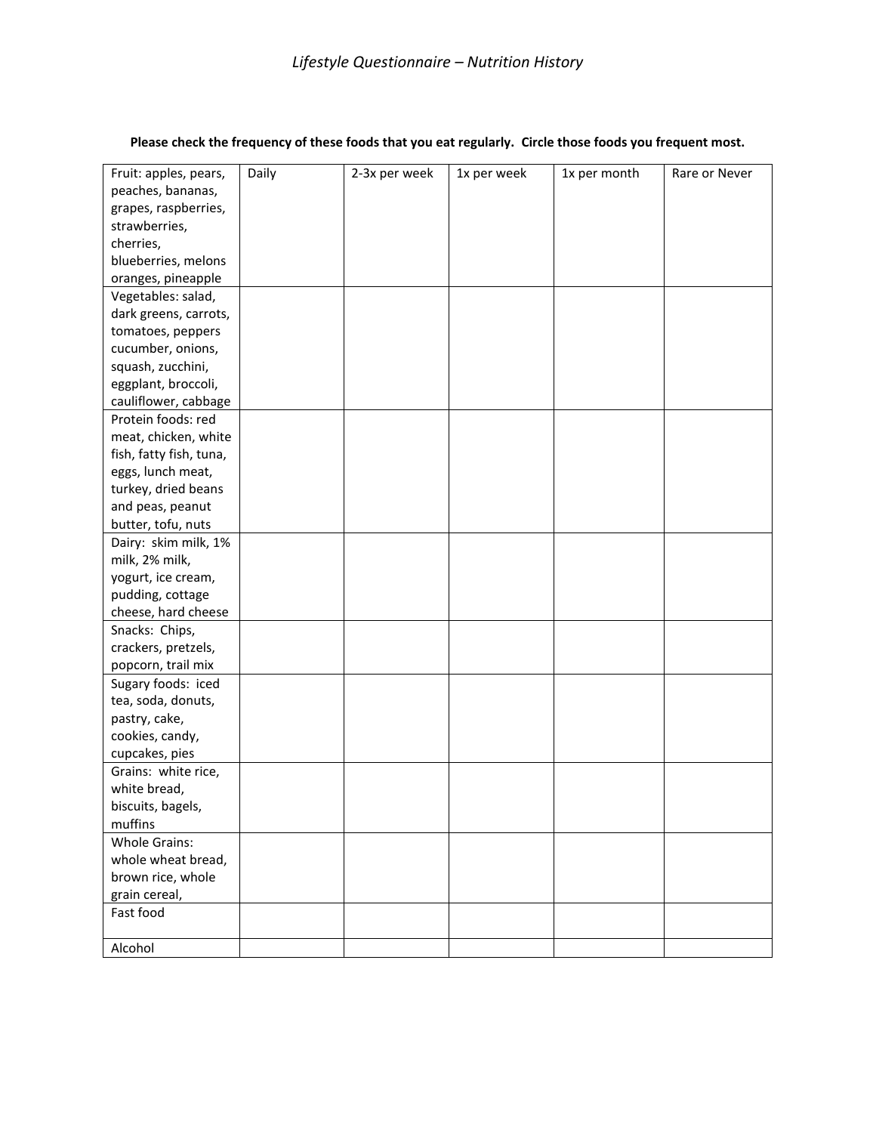| Fruit: apples, pears,   | Daily | 2-3x per week | 1x per week | 1x per month | Rare or Never |
|-------------------------|-------|---------------|-------------|--------------|---------------|
| peaches, bananas,       |       |               |             |              |               |
| grapes, raspberries,    |       |               |             |              |               |
| strawberries,           |       |               |             |              |               |
| cherries,               |       |               |             |              |               |
| blueberries, melons     |       |               |             |              |               |
| oranges, pineapple      |       |               |             |              |               |
| Vegetables: salad,      |       |               |             |              |               |
| dark greens, carrots,   |       |               |             |              |               |
| tomatoes, peppers       |       |               |             |              |               |
| cucumber, onions,       |       |               |             |              |               |
| squash, zucchini,       |       |               |             |              |               |
| eggplant, broccoli,     |       |               |             |              |               |
| cauliflower, cabbage    |       |               |             |              |               |
| Protein foods: red      |       |               |             |              |               |
| meat, chicken, white    |       |               |             |              |               |
| fish, fatty fish, tuna, |       |               |             |              |               |
| eggs, lunch meat,       |       |               |             |              |               |
| turkey, dried beans     |       |               |             |              |               |
| and peas, peanut        |       |               |             |              |               |
| butter, tofu, nuts      |       |               |             |              |               |
| Dairy: skim milk, 1%    |       |               |             |              |               |
| milk, 2% milk,          |       |               |             |              |               |
| yogurt, ice cream,      |       |               |             |              |               |
| pudding, cottage        |       |               |             |              |               |
| cheese, hard cheese     |       |               |             |              |               |
| Snacks: Chips,          |       |               |             |              |               |
| crackers, pretzels,     |       |               |             |              |               |
| popcorn, trail mix      |       |               |             |              |               |
| Sugary foods: iced      |       |               |             |              |               |
| tea, soda, donuts,      |       |               |             |              |               |
| pastry, cake,           |       |               |             |              |               |
| cookies, candy,         |       |               |             |              |               |
| cupcakes, pies          |       |               |             |              |               |
| Grains: white rice,     |       |               |             |              |               |
| white bread,            |       |               |             |              |               |
| biscuits, bagels,       |       |               |             |              |               |
| muffins                 |       |               |             |              |               |
| <b>Whole Grains:</b>    |       |               |             |              |               |
| whole wheat bread,      |       |               |             |              |               |
| brown rice, whole       |       |               |             |              |               |
| grain cereal,           |       |               |             |              |               |
| Fast food               |       |               |             |              |               |
|                         |       |               |             |              |               |
| Alcohol                 |       |               |             |              |               |
|                         |       |               |             |              |               |

### **Please check the frequency of these foods that you eat regularly. Circle those foods you frequent most.**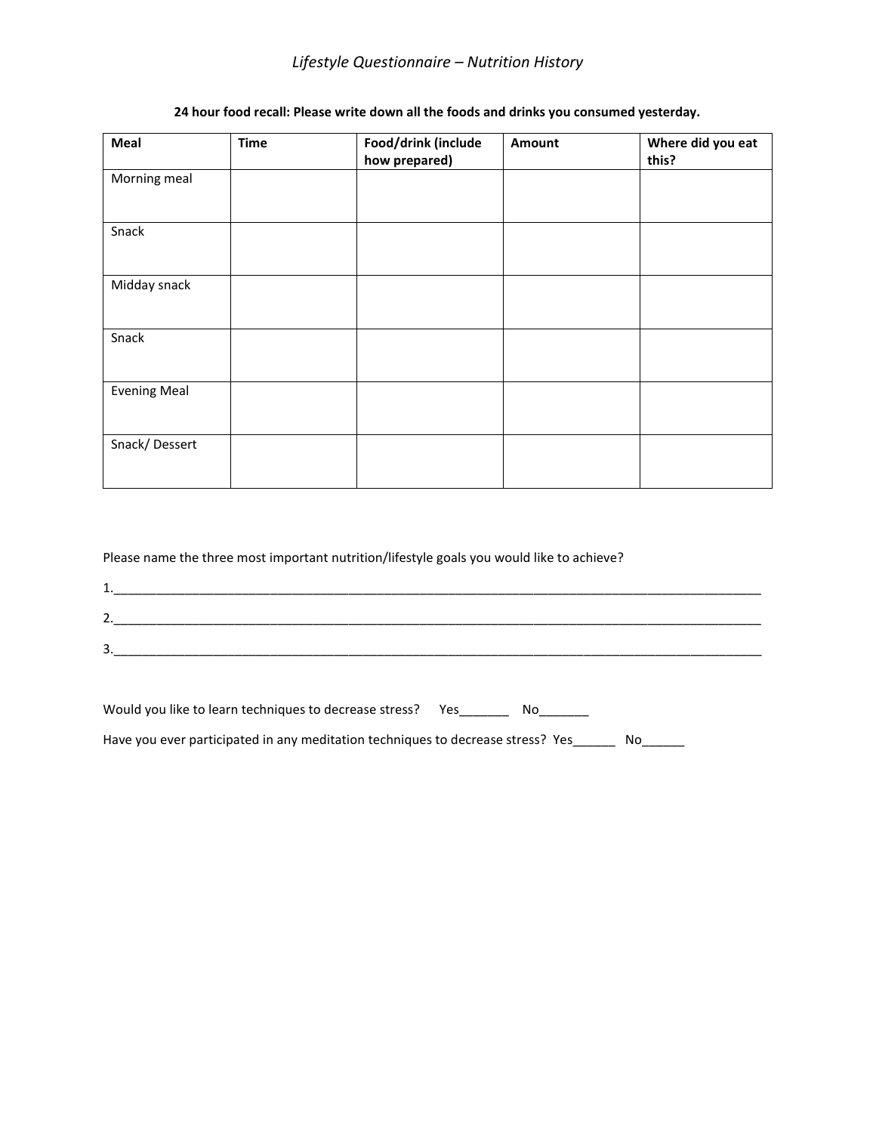## *Lifestyle Questionnaire – Nutrition History*

### **24 hour food recall: Please write down all the foods and drinks you consumed yesterday.**

| Meal                | <b>Time</b> | Food/drink (include | Amount | Where did you eat |
|---------------------|-------------|---------------------|--------|-------------------|
|                     |             | how prepared)       |        | this?             |
| Morning meal        |             |                     |        |                   |
| Snack               |             |                     |        |                   |
| Midday snack        |             |                     |        |                   |
| Snack               |             |                     |        |                   |
| <b>Evening Meal</b> |             |                     |        |                   |
| Snack/Dessert       |             |                     |        |                   |

Please name the three most important nutrition/lifestyle goals you would like to achieve?

| <br><b>.</b>  |  |  |
|---------------|--|--|
| -<br><u>.</u> |  |  |
| ∽             |  |  |
| <u>.</u>      |  |  |

| Would you like to learn techniques to decrease stress? | N٥ |  |
|--------------------------------------------------------|----|--|
|                                                        |    |  |

Have you ever participated in any meditation techniques to decrease stress? Yes\_\_\_\_\_\_ No\_\_\_\_\_\_